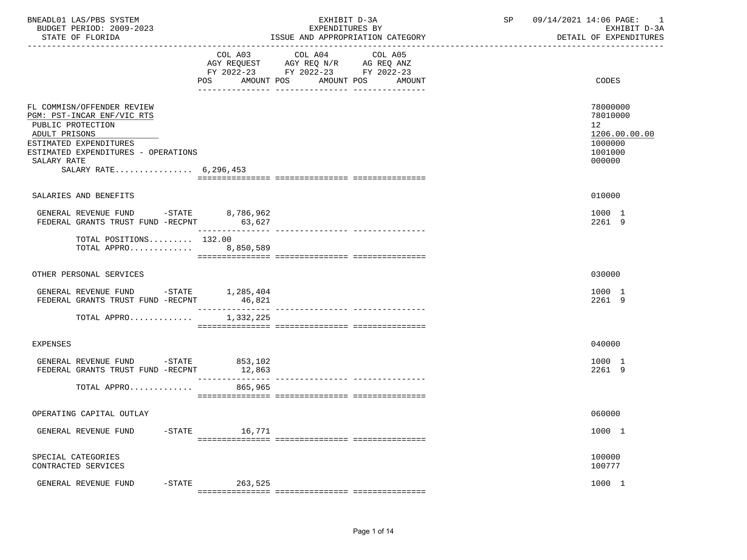| BNEADL01 LAS/PBS SYSTEM<br>BUDGET PERIOD: 2009-2023<br>STATE OF FLORIDA                                                                                                                                 | EXHIBIT D-3A<br>EXPENDITURES BY<br>ISSUE AND APPROPRIATION CATEGORY                                                                         | SP | 09/14/2021 14:06 PAGE: 1<br>EXHIBIT D-3A<br>DETAIL OF EXPENDITURES          |
|---------------------------------------------------------------------------------------------------------------------------------------------------------------------------------------------------------|---------------------------------------------------------------------------------------------------------------------------------------------|----|-----------------------------------------------------------------------------|
|                                                                                                                                                                                                         | COL A03 COL A04 COL A05<br>AGY REQUEST AGY REQ N/R AG REQ ANZ<br>FY 2022-23 FY 2022-23 FY 2022-23<br>POS<br>AMOUNT POS<br>AMOUNT POS AMOUNT |    | CODES                                                                       |
| FL COMMISN/OFFENDER REVIEW<br>PGM: PST-INCAR ENF/VIC RTS<br>PUBLIC PROTECTION<br>ADULT PRISONS<br>ESTIMATED EXPENDITURES<br>ESTIMATED EXPENDITURES - OPERATIONS<br>SALARY RATE<br>SALARY RATE 6,296,453 |                                                                                                                                             |    | 78000000<br>78010000<br>12<br>1206.00.00.00<br>1000000<br>1001000<br>000000 |
| SALARIES AND BENEFITS                                                                                                                                                                                   |                                                                                                                                             |    | 010000                                                                      |
| GENERAL REVENUE FUND -STATE 8,786,962<br>FEDERAL GRANTS TRUST FUND -RECPNT 63,627                                                                                                                       |                                                                                                                                             |    | 1000 1<br>2261 9                                                            |
| TOTAL POSITIONS 132.00<br>TOTAL APPRO 8,850,589                                                                                                                                                         |                                                                                                                                             |    |                                                                             |
| OTHER PERSONAL SERVICES                                                                                                                                                                                 |                                                                                                                                             |    | 030000                                                                      |
| GENERAL REVENUE FUND -STATE 1,285,404<br>FEDERAL GRANTS TRUST FUND -RECPNT                                                                                                                              | 46,821                                                                                                                                      |    | 1000 1<br>2261 9                                                            |
| TOTAL APPRO 1,332,225                                                                                                                                                                                   | --------------- ---------------<br>----------------                                                                                         |    |                                                                             |
| <b>EXPENSES</b>                                                                                                                                                                                         |                                                                                                                                             |    | 040000                                                                      |
| GENERAL REVENUE FUND -STATE 853,102<br>FEDERAL GRANTS TRUST FUND -RECPNT                                                                                                                                | 12,863<br>----------------                                                                                                                  |    | 1000 1<br>2261 9                                                            |
| TOTAL APPRO                                                                                                                                                                                             | 865,965                                                                                                                                     |    |                                                                             |
| OPERATING CAPITAL OUTLAY                                                                                                                                                                                |                                                                                                                                             |    | 060000                                                                      |
| GENERAL REVENUE FUND<br>$-$ STATE                                                                                                                                                                       | 16,771                                                                                                                                      |    | 1000 1                                                                      |
| SPECIAL CATEGORIES<br>CONTRACTED SERVICES                                                                                                                                                               |                                                                                                                                             |    | 100000<br>100777                                                            |
| GENERAL REVENUE FUND<br>$-$ STATE                                                                                                                                                                       | 263,525                                                                                                                                     |    | 1000 1                                                                      |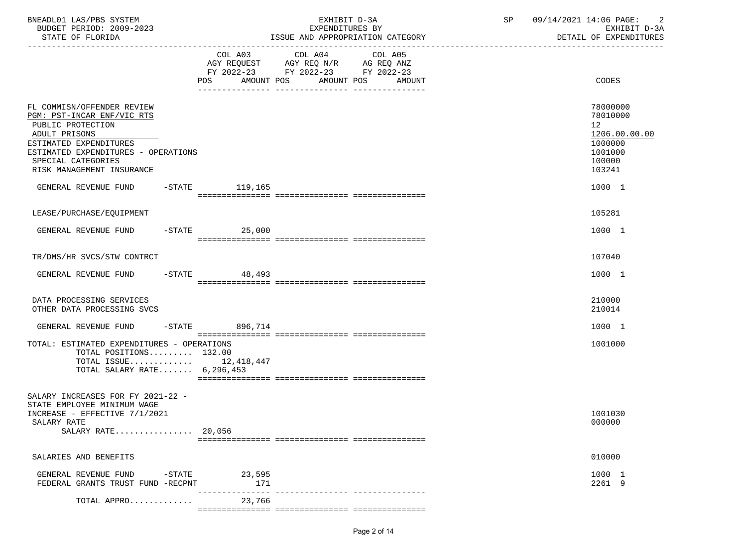| BNEADL01 LAS/PBS SYSTEM<br>BUDGET PERIOD: 2009-2023<br>STATE OF FLORIDA                                                                                                                                            |                 | EXHIBIT D-3A<br>EXPENDITURES BY<br>ISSUE AND APPROPRIATION CATEGORY                                                                      | 09/14/2021 14:06 PAGE: 2<br>SP<br>EXHIBIT D-3A<br>DETAIL OF EXPENDITURES              |
|--------------------------------------------------------------------------------------------------------------------------------------------------------------------------------------------------------------------|-----------------|------------------------------------------------------------------------------------------------------------------------------------------|---------------------------------------------------------------------------------------|
|                                                                                                                                                                                                                    |                 | COL A03 COL A04<br>COL A05<br>AGY REQUEST AGY REQ N/R AG REQ ANZ<br>FY 2022-23 FY 2022-23 FY 2022-23<br>POS AMOUNT POS AMOUNT POS AMOUNT | CODES                                                                                 |
| FL COMMISN/OFFENDER REVIEW<br>PGM: PST-INCAR ENF/VIC RTS<br>PUBLIC PROTECTION<br>ADULT PRISONS<br>ESTIMATED EXPENDITURES<br>ESTIMATED EXPENDITURES - OPERATIONS<br>SPECIAL CATEGORIES<br>RISK MANAGEMENT INSURANCE |                 |                                                                                                                                          | 78000000<br>78010000<br>12<br>1206.00.00.00<br>1000000<br>1001000<br>100000<br>103241 |
| GENERAL REVENUE FUND -STATE 119,165                                                                                                                                                                                |                 |                                                                                                                                          | 1000 1                                                                                |
| LEASE/PURCHASE/EQUIPMENT                                                                                                                                                                                           |                 |                                                                                                                                          | 105281                                                                                |
| GENERAL REVENUE FUND                                                                                                                                                                                               | $-STATE$ 25,000 |                                                                                                                                          | 1000 1                                                                                |
| TR/DMS/HR SVCS/STW CONTRCT                                                                                                                                                                                         |                 |                                                                                                                                          | 107040                                                                                |
| GENERAL REVENUE FUND -STATE 48,493                                                                                                                                                                                 |                 |                                                                                                                                          | 1000 1                                                                                |
| DATA PROCESSING SERVICES<br>OTHER DATA PROCESSING SVCS                                                                                                                                                             |                 |                                                                                                                                          | 210000<br>210014                                                                      |
| GENERAL REVENUE FUND -STATE 896,714                                                                                                                                                                                |                 |                                                                                                                                          | 1000 1                                                                                |
| TOTAL: ESTIMATED EXPENDITURES - OPERATIONS<br>TOTAL POSITIONS 132.00<br>TOTAL ISSUE $12,418,447$<br>TOTAL SALARY RATE 6,296,453                                                                                    |                 |                                                                                                                                          | 1001000                                                                               |
| SALARY INCREASES FOR FY 2021-22 -<br>STATE EMPLOYEE MINIMUM WAGE<br>INCREASE - EFFECTIVE 7/1/2021<br>SALARY RATE<br>SALARY RATE 20,056                                                                             |                 |                                                                                                                                          | 1001030<br>000000                                                                     |
| SALARIES AND BENEFITS                                                                                                                                                                                              |                 |                                                                                                                                          | 010000                                                                                |
| GENERAL REVENUE FUND<br>-STATE<br>FEDERAL GRANTS TRUST FUND -RECPNT                                                                                                                                                | 23,595<br>171   | --------------- -----------------                                                                                                        | 1000 1<br>2261 9                                                                      |
| TOTAL APPRO                                                                                                                                                                                                        | 23,766          |                                                                                                                                          |                                                                                       |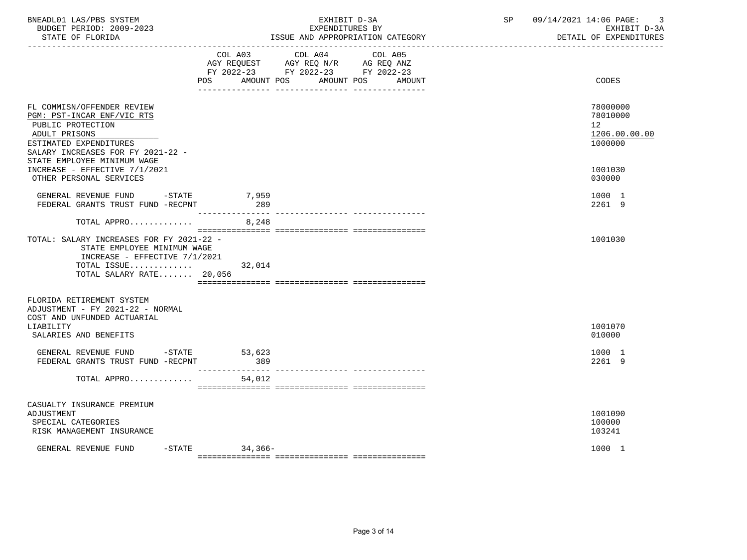| BNEADL01 LAS/PBS SYSTEM<br>BUDGET PERIOD: 2009-2023<br>STATE OF FLORIDA                                                                                                                      |                            | EXHIBIT D-3A<br>EXPENDITURES BY<br>ISSUE AND APPROPRIATION CATEGORY<br>----------------------------------                                   | SP | 09/14/2021 14:06 PAGE:<br>-3<br>EXHIBIT D-3A<br>DETAIL OF EXPENDITURES |
|----------------------------------------------------------------------------------------------------------------------------------------------------------------------------------------------|----------------------------|---------------------------------------------------------------------------------------------------------------------------------------------|----|------------------------------------------------------------------------|
|                                                                                                                                                                                              |                            | COL A03 COL A04<br>COL A05<br>AGY REQUEST AGY REQ N/R AG REQ ANZ<br>FY 2022-23 FY 2022-23 FY 2022-23<br>POS AMOUNT POS AMOUNT POS<br>AMOUNT |    | CODES                                                                  |
| FL COMMISN/OFFENDER REVIEW<br>PGM: PST-INCAR ENF/VIC RTS<br>PUBLIC PROTECTION<br>ADULT PRISONS<br>ESTIMATED EXPENDITURES<br>SALARY INCREASES FOR FY 2021-22 -<br>STATE EMPLOYEE MINIMUM WAGE |                            |                                                                                                                                             |    | 78000000<br>78010000<br>12 <sup>°</sup><br>1206.00.00.00<br>1000000    |
| INCREASE - EFFECTIVE 7/1/2021<br>OTHER PERSONAL SERVICES                                                                                                                                     |                            |                                                                                                                                             |    | 1001030<br>030000                                                      |
| GENERAL REVENUE FUND -STATE 7,959<br>FEDERAL GRANTS TRUST FUND -RECPNT                                                                                                                       | 289                        |                                                                                                                                             |    | 1000 1<br>2261 9                                                       |
| TOTAL APPRO                                                                                                                                                                                  | 8,248                      |                                                                                                                                             |    |                                                                        |
| TOTAL: SALARY INCREASES FOR FY 2021-22 -<br>STATE EMPLOYEE MINIMUM WAGE<br>INCREASE - EFFECTIVE 7/1/2021<br>TOTAL ISSUE 32,014<br>TOTAL SALARY RATE 20,056                                   |                            |                                                                                                                                             |    | 1001030                                                                |
| FLORIDA RETIREMENT SYSTEM<br>ADJUSTMENT - FY 2021-22 - NORMAL<br>COST AND UNFUNDED ACTUARIAL<br>LIABILITY<br>SALARIES AND BENEFITS                                                           |                            |                                                                                                                                             |    | 1001070<br>010000                                                      |
| GENERAL REVENUE FUND -STATE 53,623<br>FEDERAL GRANTS TRUST FUND -RECPNT                                                                                                                      | 389                        |                                                                                                                                             |    | 1000 1<br>2261 9                                                       |
| TOTAL APPRO                                                                                                                                                                                  | ________________<br>54,012 |                                                                                                                                             |    |                                                                        |
| CASUALTY INSURANCE PREMIUM<br>ADJUSTMENT<br>SPECIAL CATEGORIES<br>RISK MANAGEMENT INSURANCE                                                                                                  |                            |                                                                                                                                             |    | 1001090<br>100000<br>103241                                            |
| GENERAL REVENUE FUND                                                                                                                                                                         | -STATE 34,366-             |                                                                                                                                             |    | 1000 1                                                                 |

Page 3 of 14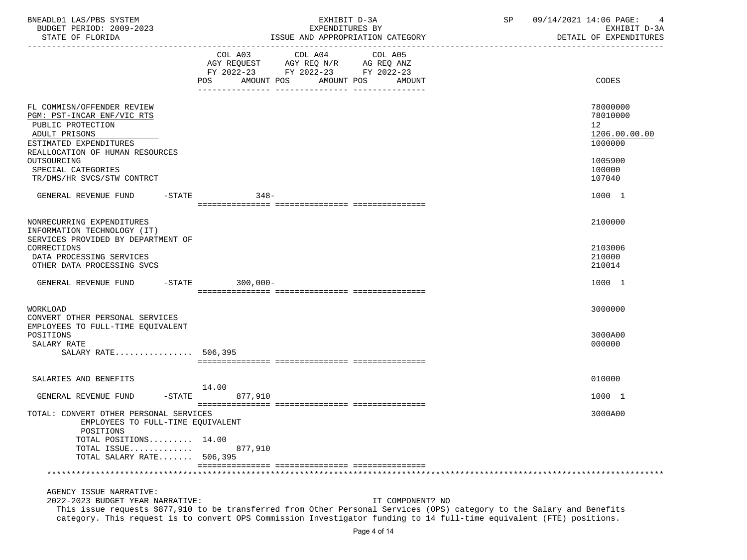| BNEADL01 LAS/PBS SYSTEM<br>BUDGET PERIOD: 2009-2023                                                                                                         | EXHIBIT D-3A<br>EXPENDITURES BY                                                                                                            | 09/14/2021 14:06 PAGE:<br>SP<br>4<br>EXHIBIT D-3A      |
|-------------------------------------------------------------------------------------------------------------------------------------------------------------|--------------------------------------------------------------------------------------------------------------------------------------------|--------------------------------------------------------|
| STATE OF FLORIDA                                                                                                                                            | ISSUE AND APPROPRIATION CATEGORY                                                                                                           | DETAIL OF EXPENDITURES                                 |
|                                                                                                                                                             | FY 2022-23 FY 2022-23 FY 2022-23<br>POS AMOUNT POS AMOUNT POS<br>AMOUNT                                                                    | <b>CODES</b>                                           |
| FL COMMISN/OFFENDER REVIEW<br>PGM: PST-INCAR ENF/VIC RTS<br>PUBLIC PROTECTION<br>ADULT PRISONS<br>ESTIMATED EXPENDITURES<br>REALLOCATION OF HUMAN RESOURCES |                                                                                                                                            | 78000000<br>78010000<br>12<br>1206.00.00.00<br>1000000 |
| OUTSOURCING<br>SPECIAL CATEGORIES<br>TR/DMS/HR SVCS/STW CONTRCT                                                                                             |                                                                                                                                            | 1005900<br>100000<br>107040                            |
| GENERAL REVENUE FUND -STATE                                                                                                                                 | $348-$                                                                                                                                     | 1000 1                                                 |
| NONRECURRING EXPENDITURES<br>INFORMATION TECHNOLOGY (IT)<br>SERVICES PROVIDED BY DEPARTMENT OF                                                              |                                                                                                                                            | 2100000                                                |
| CORRECTIONS<br>DATA PROCESSING SERVICES<br>OTHER DATA PROCESSING SVCS                                                                                       |                                                                                                                                            | 2103006<br>210000<br>210014                            |
| GENERAL REVENUE FUND -STATE 300,000-                                                                                                                        |                                                                                                                                            | 1000 1                                                 |
| WORKLOAD<br>CONVERT OTHER PERSONAL SERVICES                                                                                                                 |                                                                                                                                            | 3000000                                                |
| EMPLOYEES TO FULL-TIME EQUIVALENT<br>POSITIONS<br>SALARY RATE<br>SALARY RATE 506,395                                                                        |                                                                                                                                            | 3000A00<br>000000                                      |
|                                                                                                                                                             |                                                                                                                                            |                                                        |
| SALARIES AND BENEFITS                                                                                                                                       | 14.00                                                                                                                                      | 010000                                                 |
| GENERAL REVENUE FUND -STATE                                                                                                                                 | 877,910                                                                                                                                    | 1000 1                                                 |
| TOTAL: CONVERT OTHER PERSONAL SERVICES<br>EMPLOYEES TO FULL-TIME EQUIVALENT<br>POSITIONS                                                                    |                                                                                                                                            | 3000A00                                                |
| TOTAL POSITIONS 14.00<br>TOTAL ISSUE<br>TOTAL SALARY RATE 506,395                                                                                           | 877,910                                                                                                                                    |                                                        |
|                                                                                                                                                             |                                                                                                                                            |                                                        |
| AGENCY ISSUE NARRATIVE:<br>2022-2023 BUDGET YEAR NARRATIVE:                                                                                                 | IT COMPONENT? NO<br>This issue requests \$877,910 to be transferred from Other Personal Services (OPS) category to the Salary and Benefits |                                                        |

category. This request is to convert OPS Commission Investigator funding to 14 full-time equivalent (FTE) positions.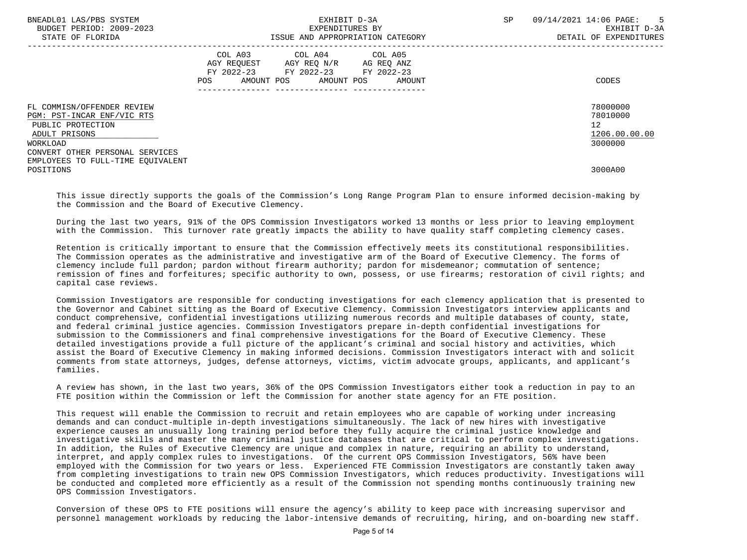| BNEADL01 LAS/PBS SYSTEM<br>BUDGET PERIOD: 2009-2023<br>STATE OF FLORIDA                        | EXHIBIT D-3A<br>EXPENDITURES BY<br>ISSUE AND APPROPRIATION CATEGORY                                                                            | SP.<br>09/14/2021 14:06 PAGE:<br>$-5$<br>EXHIBIT D-3A<br>DETAIL OF EXPENDITURES |
|------------------------------------------------------------------------------------------------|------------------------------------------------------------------------------------------------------------------------------------------------|---------------------------------------------------------------------------------|
|                                                                                                | COL A03 COL A04 COL A05<br>AGY REQUEST AGY REQ N/R AG REQ ANZ<br>FY 2022-23 FY 2022-23 FY 2022-23<br>AMOUNT POS<br>AMOUNT POS<br>POS<br>AMOUNT | CODES                                                                           |
| FL COMMISN/OFFENDER REVIEW<br>PGM: PST-INCAR ENF/VIC RTS<br>PUBLIC PROTECTION<br>ADULT PRISONS |                                                                                                                                                | 78000000<br>78010000<br>12 <sup>°</sup><br>1206.00.00.00                        |
| WORKLOAD<br>CONVERT OTHER PERSONAL SERVICES<br>EMPLOYEES TO FULL-TIME EOUIVALENT<br>POSITIONS  |                                                                                                                                                | 3000000<br>3000A00                                                              |

 This issue directly supports the goals of the Commission's Long Range Program Plan to ensure informed decision-making by the Commission and the Board of Executive Clemency.

 During the last two years, 91% of the OPS Commission Investigators worked 13 months or less prior to leaving employment with the Commission. This turnover rate greatly impacts the ability to have quality staff completing clemency cases.

 Retention is critically important to ensure that the Commission effectively meets its constitutional responsibilities. The Commission operates as the administrative and investigative arm of the Board of Executive Clemency. The forms of clemency include full pardon; pardon without firearm authority; pardon for misdemeanor; commutation of sentence; remission of fines and forfeitures; specific authority to own, possess, or use firearms; restoration of civil rights; and capital case reviews.

 Commission Investigators are responsible for conducting investigations for each clemency application that is presented to the Governor and Cabinet sitting as the Board of Executive Clemency. Commission Investigators interview applicants and conduct comprehensive, confidential investigations utilizing numerous records and multiple databases of county, state, and federal criminal justice agencies. Commission Investigators prepare in-depth confidential investigations for submission to the Commissioners and final comprehensive investigations for the Board of Executive Clemency. These detailed investigations provide a full picture of the applicant's criminal and social history and activities, which assist the Board of Executive Clemency in making informed decisions. Commission Investigators interact with and solicit comments from state attorneys, judges, defense attorneys, victims, victim advocate groups, applicants, and applicant's families.

 A review has shown, in the last two years, 36% of the OPS Commission Investigators either took a reduction in pay to an FTE position within the Commission or left the Commission for another state agency for an FTE position.

 This request will enable the Commission to recruit and retain employees who are capable of working under increasing demands and can conduct-multiple in-depth investigations simultaneously. The lack of new hires with investigative experience causes an unusually long training period before they fully acquire the criminal justice knowledge and investigative skills and master the many criminal justice databases that are critical to perform complex investigations. In addition, the Rules of Executive Clemency are unique and complex in nature, requiring an ability to understand, interpret, and apply complex rules to investigations. Of the current OPS Commission Investigators, 56% have been employed with the Commission for two years or less. Experienced FTE Commission Investigators are constantly taken away from completing investigations to train new OPS Commission Investigators, which reduces productivity. Investigations will be conducted and completed more efficiently as a result of the Commission not spending months continuously training new OPS Commission Investigators.

 Conversion of these OPS to FTE positions will ensure the agency's ability to keep pace with increasing supervisor and personnel management workloads by reducing the labor-intensive demands of recruiting, hiring, and on-boarding new staff.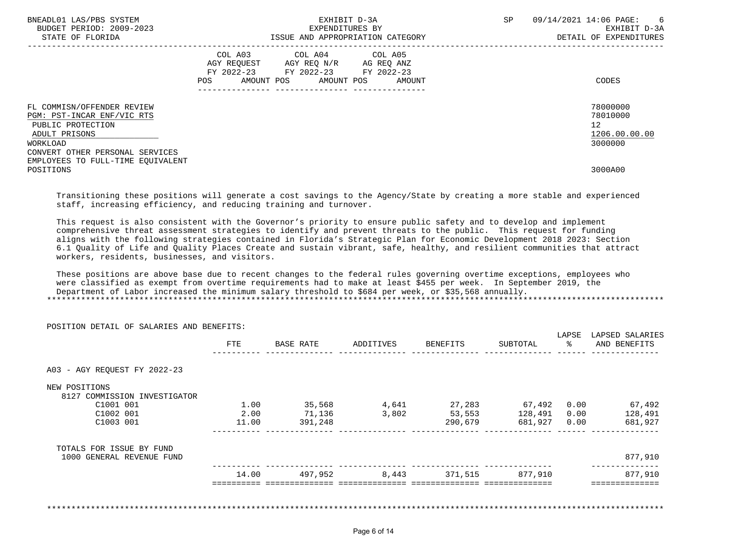| BNEADL01 LAS/PBS SYSTEM<br>BUDGET PERIOD: 2009-2023<br>STATE OF FLORIDA                                    | EXHIBIT D-3A<br>EXPENDITURES BY<br>ISSUE AND APPROPRIATION CATEGORY                                                                         | SP<br>09/14/2021 14:06 PAGE:<br>EXHIBIT D-3A<br>DETAIL OF EXPENDITURES | 6 |
|------------------------------------------------------------------------------------------------------------|---------------------------------------------------------------------------------------------------------------------------------------------|------------------------------------------------------------------------|---|
|                                                                                                            | COL A03 COL A04 COL A05<br>AGY REOUEST AGY REO N/R AG REO ANZ<br>FY 2022-23 FY 2022-23 FY 2022-23<br>AMOUNT POS AMOUNT POS<br>POS<br>AMOUNT | CODES                                                                  |   |
| FL COMMISN/OFFENDER REVIEW<br>PGM: PST-INCAR ENF/VIC RTS<br>PUBLIC PROTECTION<br>ADULT PRISONS<br>WORKLOAD |                                                                                                                                             | 78000000<br>78010000<br>12<br>1206.00.00.00<br>3000000                 |   |
| CONVERT OTHER PERSONAL SERVICES<br>EMPLOYEES TO FULL-TIME EOUIVALENT<br>POSITIONS                          |                                                                                                                                             | 3000A00                                                                |   |

 Transitioning these positions will generate a cost savings to the Agency/State by creating a more stable and experienced staff, increasing efficiency, and reducing training and turnover.

 This request is also consistent with the Governor's priority to ensure public safety and to develop and implement comprehensive threat assessment strategies to identify and prevent threats to the public. This request for funding aligns with the following strategies contained in Florida's Strategic Plan for Economic Development 2018 2023: Section 6.1 Quality of Life and Quality Places Create and sustain vibrant, safe, healthy, and resilient communities that attract workers, residents, businesses, and visitors.

 These positions are above base due to recent changes to the federal rules governing overtime exceptions, employees who were classified as exempt from overtime requirements had to make at least \$455 per week. In September 2019, the Department of Labor increased the minimum salary threshold to \$684 per week, or \$35,568 annually. \*\*\*\*\*\*\*\*\*\*\*\*\*\*\*\*\*\*\*\*\*\*\*\*\*\*\*\*\*\*\*\*\*\*\*\*\*\*\*\*\*\*\*\*\*\*\*\*\*\*\*\*\*\*\*\*\*\*\*\*\*\*\*\*\*\*\*\*\*\*\*\*\*\*\*\*\*\*\*\*\*\*\*\*\*\*\*\*\*\*\*\*\*\*\*\*\*\*\*\*\*\*\*\*\*\*\*\*\*\*\*\*\*\*\*\*\*\*\*\*\*\*\*\*\*\*\*

|                                               |       |           |           |          |          | LAPSE | LAPSED SALARIES |
|-----------------------------------------------|-------|-----------|-----------|----------|----------|-------|-----------------|
|                                               | FTE   | BASE RATE | ADDITIVES | BENEFITS | SUBTOTAL |       | AND BENEFITS    |
| A03 - AGY REQUEST FY 2022-23                  |       |           |           |          |          |       |                 |
| NEW POSITIONS<br>8127 COMMISSION INVESTIGATOR |       |           |           |          |          |       |                 |
| C1001 001                                     | 1.00  | 35,568    | 4,641     | 27,283   | 67,492   | 0.00  | 67,492          |
| C1002 001                                     | 2.00  | 71,136    | 3,802     | 53,553   | 128,491  | 0.00  | 128,491         |
| C1003 001                                     | 11.00 | 391,248   |           | 290,679  | 681,927  | 0.00  | 681,927         |
| TOTALS FOR ISSUE BY FUND                      |       |           |           |          |          |       |                 |
| 1000 GENERAL REVENUE FUND                     |       |           |           |          |          |       | 877,910         |
|                                               | 14.00 | 497,952   | 8,443     | 371,515  | 877,910  |       | 877,910         |
|                                               |       |           |           |          |          |       |                 |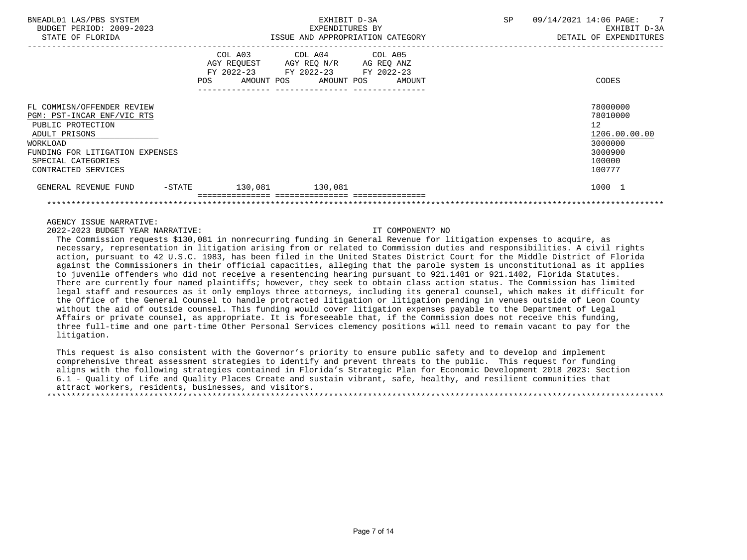| BNEADL01 LAS/PBS SYSTEM<br>BUDGET PERIOD: 2009-2023<br>STATE OF FLORIDA                                                                                                                    | EXHIBIT D-3A<br>EXPENDITURES BY<br>ISSUE AND APPROPRIATION CATEGORY                                            |                                                                                                                                   | SP. | 09/14/2021 14:06 PAGE: 7<br>EXHIBIT D-3A<br>DETAIL OF EXPENDITURES                                   |
|--------------------------------------------------------------------------------------------------------------------------------------------------------------------------------------------|----------------------------------------------------------------------------------------------------------------|-----------------------------------------------------------------------------------------------------------------------------------|-----|------------------------------------------------------------------------------------------------------|
|                                                                                                                                                                                            | POS FOR THE POST OF THE STATE STATE STATE STATE STATE STATE STATE STATE STATE STATE STATE STATE STATE STATE ST | COL A03 COL A04 COL A05<br>AGY REQUEST AGY REQ N/R AG REQ ANZ<br>FY 2022-23 FY 2022-23 FY 2022-23<br>AMOUNT POS AMOUNT POS AMOUNT |     | CODES                                                                                                |
| FL COMMISN/OFFENDER REVIEW<br>PGM: PST-INCAR ENF/VIC RTS<br>PUBLIC PROTECTION<br>ADULT PRISONS<br>WORKLOAD<br>FUNDING FOR LITIGATION EXPENSES<br>SPECIAL CATEGORIES<br>CONTRACTED SERVICES |                                                                                                                |                                                                                                                                   |     | 78000000<br>78010000<br>$12 \overline{ }$<br>1206.00.00.00<br>3000000<br>3000900<br>100000<br>100777 |
| GENERAL REVENUE FUND<br>$-$ STATE                                                                                                                                                          | 130,081 130,081                                                                                                |                                                                                                                                   |     | 1000 1                                                                                               |
|                                                                                                                                                                                            |                                                                                                                |                                                                                                                                   |     |                                                                                                      |

AGENCY ISSUE NARRATIVE:

2022-2023 BUDGET YEAR NARRATIVE: IT COMPONENT? NO

 The Commission requests \$130,081 in nonrecurring funding in General Revenue for litigation expenses to acquire, as necessary, representation in litigation arising from or related to Commission duties and responsibilities. A civil rights action, pursuant to 42 U.S.C. 1983, has been filed in the United States District Court for the Middle District of Florida against the Commissioners in their official capacities, alleging that the parole system is unconstitutional as it applies to juvenile offenders who did not receive a resentencing hearing pursuant to 921.1401 or 921.1402, Florida Statutes. There are currently four named plaintiffs; however, they seek to obtain class action status. The Commission has limited legal staff and resources as it only employs three attorneys, including its general counsel, which makes it difficult for the Office of the General Counsel to handle protracted litigation or litigation pending in venues outside of Leon County without the aid of outside counsel. This funding would cover litigation expenses payable to the Department of Legal Affairs or private counsel, as appropriate. It is foreseeable that, if the Commission does not receive this funding, three full-time and one part-time Other Personal Services clemency positions will need to remain vacant to pay for the litigation.

 This request is also consistent with the Governor's priority to ensure public safety and to develop and implement comprehensive threat assessment strategies to identify and prevent threats to the public. This request for funding aligns with the following strategies contained in Florida's Strategic Plan for Economic Development 2018 2023: Section 6.1 - Quality of Life and Quality Places Create and sustain vibrant, safe, healthy, and resilient communities that attract workers, residents, businesses, and visitors.

\*\*\*\*\*\*\*\*\*\*\*\*\*\*\*\*\*\*\*\*\*\*\*\*\*\*\*\*\*\*\*\*\*\*\*\*\*\*\*\*\*\*\*\*\*\*\*\*\*\*\*\*\*\*\*\*\*\*\*\*\*\*\*\*\*\*\*\*\*\*\*\*\*\*\*\*\*\*\*\*\*\*\*\*\*\*\*\*\*\*\*\*\*\*\*\*\*\*\*\*\*\*\*\*\*\*\*\*\*\*\*\*\*\*\*\*\*\*\*\*\*\*\*\*\*\*\*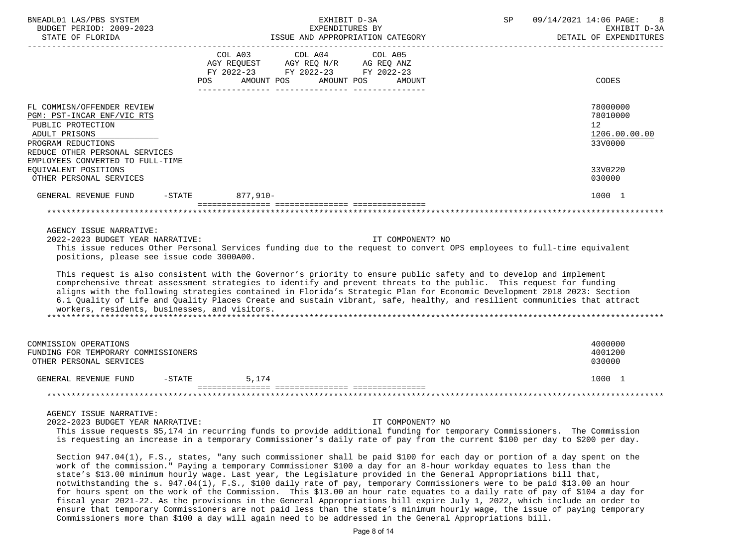| BNEADL01 LAS/PBS SYSTEM<br>BUDGET PERIOD: 2009-2023                                                                                                                                                                                                                                                                                                                                                                                                                                                                                            |     |                 | EXHIBIT D-3A                                                                                      | EXPENDITURES BY      | SP | 09/14/2021 14:06 PAGE:<br>EXHIBIT D-3A<br>DETAIL OF EXPENDITURES |
|------------------------------------------------------------------------------------------------------------------------------------------------------------------------------------------------------------------------------------------------------------------------------------------------------------------------------------------------------------------------------------------------------------------------------------------------------------------------------------------------------------------------------------------------|-----|-----------------|---------------------------------------------------------------------------------------------------|----------------------|----|------------------------------------------------------------------|
|                                                                                                                                                                                                                                                                                                                                                                                                                                                                                                                                                |     |                 | COL A03 COL A04 COL A05<br>AGY REQUEST AGY REQ N/R AG REQ ANZ<br>FY 2022-23 FY 2022-23 FY 2022-23 |                      |    |                                                                  |
|                                                                                                                                                                                                                                                                                                                                                                                                                                                                                                                                                | POS | AMOUNT POS      |                                                                                                   | AMOUNT POS<br>AMOUNT |    | CODES                                                            |
| FL COMMISN/OFFENDER REVIEW<br>PGM: PST-INCAR ENF/VIC RTS<br>PUBLIC PROTECTION                                                                                                                                                                                                                                                                                                                                                                                                                                                                  |     |                 |                                                                                                   |                      |    | 78000000<br>78010000<br>12                                       |
| ADULT PRISONS                                                                                                                                                                                                                                                                                                                                                                                                                                                                                                                                  |     |                 |                                                                                                   |                      |    | 1206.00.00.00                                                    |
| PROGRAM REDUCTIONS<br>REDUCE OTHER PERSONAL SERVICES<br>EMPLOYEES CONVERTED TO FULL-TIME                                                                                                                                                                                                                                                                                                                                                                                                                                                       |     |                 |                                                                                                   |                      |    | 33V0000                                                          |
| EQUIVALENT POSITIONS<br>OTHER PERSONAL SERVICES                                                                                                                                                                                                                                                                                                                                                                                                                                                                                                |     |                 |                                                                                                   |                      |    | 33V0220<br>030000                                                |
| GENERAL REVENUE FUND                                                                                                                                                                                                                                                                                                                                                                                                                                                                                                                           |     | -STATE 877,910- |                                                                                                   |                      |    | 1000 1                                                           |
|                                                                                                                                                                                                                                                                                                                                                                                                                                                                                                                                                |     |                 |                                                                                                   |                      |    |                                                                  |
| AGENCY ISSUE NARRATIVE:                                                                                                                                                                                                                                                                                                                                                                                                                                                                                                                        |     |                 |                                                                                                   |                      |    |                                                                  |
| 2022-2023 BUDGET YEAR NARRATIVE:<br>This issue reduces Other Personal Services funding due to the request to convert OPS employees to full-time equivalent<br>positions, please see issue code 3000A00.                                                                                                                                                                                                                                                                                                                                        |     |                 |                                                                                                   | IT COMPONENT? NO     |    |                                                                  |
| This request is also consistent with the Governor's priority to ensure public safety and to develop and implement<br>comprehensive threat assessment strategies to identify and prevent threats to the public. This request for funding<br>aligns with the following strategies contained in Florida's Strategic Plan for Economic Development 2018 2023: Section<br>6.1 Quality of Life and Quality Places Create and sustain vibrant, safe, healthy, and resilient communities that attract<br>workers, residents, businesses, and visitors. |     |                 |                                                                                                   |                      |    |                                                                  |
| COMMISSION OPERATIONS                                                                                                                                                                                                                                                                                                                                                                                                                                                                                                                          |     |                 |                                                                                                   |                      |    | 4000000                                                          |
| FUNDING FOR TEMPORARY COMMISSIONERS<br>OTHER PERSONAL SERVICES                                                                                                                                                                                                                                                                                                                                                                                                                                                                                 |     |                 |                                                                                                   |                      |    | 4001200<br>030000                                                |
| GENERAL REVENUE FUND -STATE                                                                                                                                                                                                                                                                                                                                                                                                                                                                                                                    |     | 5,174           |                                                                                                   |                      |    | 1000 1                                                           |
|                                                                                                                                                                                                                                                                                                                                                                                                                                                                                                                                                |     |                 |                                                                                                   |                      |    |                                                                  |
| AGENCY ISSUE NARRATIVE:<br>2022-2023 BUDGET YEAR NARRATIVE:<br>This issue requests \$5,174 in recurring funds to provide additional funding for temporary Commissioners. The Commission<br>is requesting an increase in a temporary Commissioner's daily rate of pay from the current \$100 per day to \$200 per day.                                                                                                                                                                                                                          |     |                 |                                                                                                   | IT COMPONENT? NO     |    |                                                                  |
| Section 947.04(1), F.S., states, "any such commissioner shall be paid \$100 for each day or portion of a day spent on the<br>work of the commission." Paying a temporary Commissioner \$100 a day for an 8-hour workday equates to less than the<br>state's \$13.00 minimum hourly wage. Last year, the Legislature provided in the General Appropriations bill that,<br>notwithstanding the s. 947.04(1), F.S., \$100 daily rate of pay, temporary Commissioners were to be paid \$13.00 an hour                                              |     |                 |                                                                                                   |                      |    |                                                                  |

 for hours spent on the work of the Commission. This \$13.00 an hour rate equates to a daily rate of pay of \$104 a day for fiscal year 2021-22. As the provisions in the General Appropriations bill expire July 1, 2022, which include an order to ensure that temporary Commissioners are not paid less than the state's minimum hourly wage, the issue of paying temporary Commissioners more than \$100 a day will again need to be addressed in the General Appropriations bill.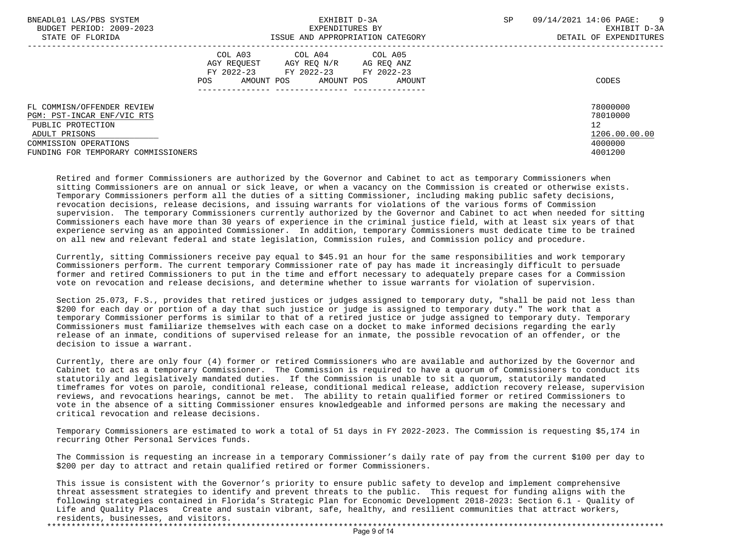| BNEADL01 LAS/PBS SYSTEM<br>BUDGET PERIOD: 2009-2023 | EXHIBIT D-3A<br>EXPENDITURES BY                                                        |                                                                     | <b>SP</b> | 09/14/2021 14:06 PAGE:<br>9<br>EXHIBIT D-3A |  |
|-----------------------------------------------------|----------------------------------------------------------------------------------------|---------------------------------------------------------------------|-----------|---------------------------------------------|--|
| STATE OF FLORIDA                                    |                                                                                        | ISSUE AND APPROPRIATION CATEGORY                                    |           | DETAIL OF EXPENDITURES                      |  |
|                                                     | COL A03<br>AGY REOUEST<br>AGY REO N/R<br>FY 2022-23<br>FY 2022-23<br>POS<br>AMOUNT POS | COL A04 COL A05<br>AG REO ANZ<br>FY 2022-23<br>AMOUNT POS<br>AMOUNT |           | CODES                                       |  |
| FL COMMISN/OFFENDER REVIEW                          |                                                                                        |                                                                     |           | 78000000                                    |  |
| PGM: PST-INCAR ENF/VIC RTS                          |                                                                                        |                                                                     |           | 78010000                                    |  |
| PUBLIC PROTECTION                                   |                                                                                        |                                                                     |           | 12                                          |  |
| ADULT PRISONS                                       |                                                                                        |                                                                     |           | 1206.00.00.00                               |  |
| COMMISSION OPERATIONS                               |                                                                                        |                                                                     |           | 4000000                                     |  |
| FUNDING FOR TEMPORARY COMMISSIONERS                 |                                                                                        |                                                                     |           | 4001200                                     |  |

 Retired and former Commissioners are authorized by the Governor and Cabinet to act as temporary Commissioners when sitting Commissioners are on annual or sick leave, or when a vacancy on the Commission is created or otherwise exists. Temporary Commissioners perform all the duties of a sitting Commissioner, including making public safety decisions, revocation decisions, release decisions, and issuing warrants for violations of the various forms of Commission supervision. The temporary Commissioners currently authorized by the Governor and Cabinet to act when needed for sitting Commissioners each have more than 30 years of experience in the criminal justice field, with at least six years of that experience serving as an appointed Commissioner. In addition, temporary Commissioners must dedicate time to be trained on all new and relevant federal and state legislation, Commission rules, and Commission policy and procedure.

 Currently, sitting Commissioners receive pay equal to \$45.91 an hour for the same responsibilities and work temporary Commissioners perform. The current temporary Commissioner rate of pay has made it increasingly difficult to persuade former and retired Commissioners to put in the time and effort necessary to adequately prepare cases for a Commission vote on revocation and release decisions, and determine whether to issue warrants for violation of supervision.

 Section 25.073, F.S., provides that retired justices or judges assigned to temporary duty, "shall be paid not less than \$200 for each day or portion of a day that such justice or judge is assigned to temporary duty." The work that a temporary Commissioner performs is similar to that of a retired justice or judge assigned to temporary duty. Temporary Commissioners must familiarize themselves with each case on a docket to make informed decisions regarding the early release of an inmate, conditions of supervised release for an inmate, the possible revocation of an offender, or the decision to issue a warrant.

 Currently, there are only four (4) former or retired Commissioners who are available and authorized by the Governor and Cabinet to act as a temporary Commissioner. The Commission is required to have a quorum of Commissioners to conduct its statutorily and legislatively mandated duties. If the Commission is unable to sit a quorum, statutorily mandated timeframes for votes on parole, conditional release, conditional medical release, addiction recovery release, supervision reviews, and revocations hearings, cannot be met. The ability to retain qualified former or retired Commissioners to vote in the absence of a sitting Commissioner ensures knowledgeable and informed persons are making the necessary and critical revocation and release decisions.

 Temporary Commissioners are estimated to work a total of 51 days in FY 2022-2023. The Commission is requesting \$5,174 in recurring Other Personal Services funds.

 The Commission is requesting an increase in a temporary Commissioner's daily rate of pay from the current \$100 per day to \$200 per day to attract and retain qualified retired or former Commissioners.

 This issue is consistent with the Governor's priority to ensure public safety to develop and implement comprehensive threat assessment strategies to identify and prevent threats to the public. This request for funding aligns with the following strategies contained in Florida's Strategic Plan for Economic Development 2018-2023: Section 6.1 - Quality of Life and Quality Places Create and sustain vibrant, safe, healthy, and resilient communities that attract workers, residents, businesses, and visitors. \*\*\*\*\*\*\*\*\*\*\*\*\*\*\*\*\*\*\*\*\*\*\*\*\*\*\*\*\*\*\*\*\*\*\*\*\*\*\*\*\*\*\*\*\*\*\*\*\*\*\*\*\*\*\*\*\*\*\*\*\*\*\*\*\*\*\*\*\*\*\*\*\*\*\*\*\*\*\*\*\*\*\*\*\*\*\*\*\*\*\*\*\*\*\*\*\*\*\*\*\*\*\*\*\*\*\*\*\*\*\*\*\*\*\*\*\*\*\*\*\*\*\*\*\*\*\*

 $P^*$ age 9 of 14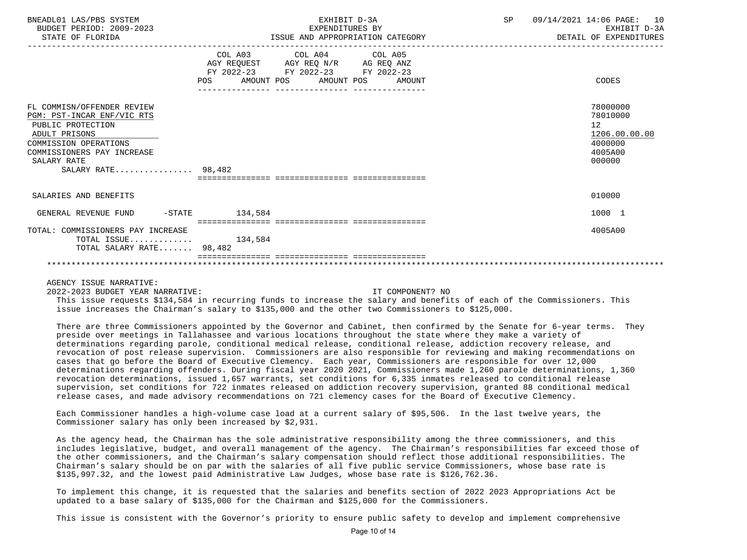| BNEADL01 LAS/PBS SYSTEM<br>BUDGET PERIOD: 2009-2023<br>STATE OF FLORIDA                                                                                                                    | EXHIBIT D-3A<br>EXPENDITURES BY<br>ISSUE AND APPROPRIATION CATEGORY                                                                             | SP<br>09/14/2021 14:06 PAGE: 10<br>EXHIBIT D-3A<br>DETAIL OF EXPENDITURES   |
|--------------------------------------------------------------------------------------------------------------------------------------------------------------------------------------------|-------------------------------------------------------------------------------------------------------------------------------------------------|-----------------------------------------------------------------------------|
|                                                                                                                                                                                            | COL A03 COL A04 COL A05<br>AGY REQUEST AGY REQ N/R AG REQ ANZ<br>FY 2022-23 FY 2022-23 FY 2022-23<br>AMOUNT POS AMOUNT POS AMOUNT<br><b>POS</b> | CODES                                                                       |
| FL COMMISN/OFFENDER REVIEW<br>PGM: PST-INCAR ENF/VIC RTS<br>PUBLIC PROTECTION<br>ADULT PRISONS<br>COMMISSION OPERATIONS<br>COMMISSIONERS PAY INCREASE<br>SALARY RATE<br>SALARY RATE 98,482 |                                                                                                                                                 | 78000000<br>78010000<br>12<br>1206.00.00.00<br>4000000<br>4005A00<br>000000 |
| SALARIES AND BENEFITS                                                                                                                                                                      |                                                                                                                                                 | 010000                                                                      |
| GENERAL REVENUE FUND -STATE                                                                                                                                                                | 134,584                                                                                                                                         | 1000 1                                                                      |
| TOTAL: COMMISSIONERS PAY INCREASE<br>TOTAL ISSUE $134,584$<br>TOTAL SALARY RATE 98,482                                                                                                     |                                                                                                                                                 | 4005A00                                                                     |
|                                                                                                                                                                                            |                                                                                                                                                 |                                                                             |

AGENCY ISSUE NARRATIVE:

2022-2023 BUDGET YEAR NARRATIVE: IT COMPONENT? NO

 This issue requests \$134,584 in recurring funds to increase the salary and benefits of each of the Commissioners. This issue increases the Chairman's salary to \$135,000 and the other two Commissioners to \$125,000.

 There are three Commissioners appointed by the Governor and Cabinet, then confirmed by the Senate for 6-year terms. They preside over meetings in Tallahassee and various locations throughout the state where they make a variety of determinations regarding parole, conditional medical release, conditional release, addiction recovery release, and revocation of post release supervision. Commissioners are also responsible for reviewing and making recommendations on cases that go before the Board of Executive Clemency. Each year, Commissioners are responsible for over 12,000 determinations regarding offenders. During fiscal year 2020 2021, Commissioners made 1,260 parole determinations, 1,360 revocation determinations, issued 1,657 warrants, set conditions for 6,335 inmates released to conditional release supervision, set conditions for 722 inmates released on addiction recovery supervision, granted 88 conditional medical release cases, and made advisory recommendations on 721 clemency cases for the Board of Executive Clemency.

 Each Commissioner handles a high-volume case load at a current salary of \$95,506. In the last twelve years, the Commissioner salary has only been increased by \$2,931.

 As the agency head, the Chairman has the sole administrative responsibility among the three commissioners, and this includes legislative, budget, and overall management of the agency. The Chairman's responsibilities far exceed those of the other commissioners, and the Chairman's salary compensation should reflect those additional responsibilities. The Chairman's salary should be on par with the salaries of all five public service Commissioners, whose base rate is \$135,997.32, and the lowest paid Administrative Law Judges, whose base rate is \$126,762.36.

 To implement this change, it is requested that the salaries and benefits section of 2022 2023 Appropriations Act be updated to a base salary of \$135,000 for the Chairman and \$125,000 for the Commissioners.

This issue is consistent with the Governor's priority to ensure public safety to develop and implement comprehensive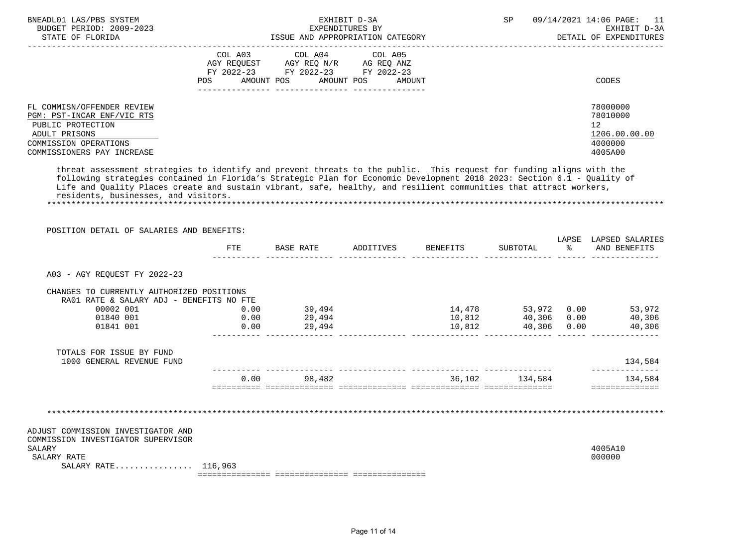| BNEADL01 LAS/PBS SYSTEM<br>BUDGET PERIOD: 2009-2023<br>STATE OF FLORIDA                                                                               | EXHIBIT D-3A<br>EXPENDITURES BY<br>ISSUE AND APPROPRIATION CATEGORY                                                                                  | <b>SP</b><br>09/14/2021 14:06 PAGE: 11<br>EXHIBIT D-3A<br>DETAIL OF EXPENDITURES |
|-------------------------------------------------------------------------------------------------------------------------------------------------------|------------------------------------------------------------------------------------------------------------------------------------------------------|----------------------------------------------------------------------------------|
|                                                                                                                                                       | COL A03 COL A04 COL A05<br>AGY REOUEST<br>AGY REO N/R<br>AG REO ANZ<br>FY 2022-23 FY 2022-23 FY 2022-23<br>AMOUNT POS<br>AMOUNT POS<br>POS<br>AMOUNT | CODES                                                                            |
| FL COMMISN/OFFENDER REVIEW<br>PGM: PST-INCAR ENF/VIC RTS<br>PUBLIC PROTECTION<br>ADULT PRISONS<br>COMMISSION OPERATIONS<br>COMMISSIONERS PAY INCREASE |                                                                                                                                                      | 78000000<br>78010000<br>12<br>1206.00.00.00<br>4000000<br>4005A00                |

 threat assessment strategies to identify and prevent threats to the public. This request for funding aligns with the following strategies contained in Florida's Strategic Plan for Economic Development 2018 2023: Section 6.1 - Quality of Life and Quality Places create and sustain vibrant, safe, healthy, and resilient communities that attract workers, residents, businesses, and visitors. \*\*\*\*\*\*\*\*\*\*\*\*\*\*\*\*\*\*\*\*\*\*\*\*\*\*\*\*\*\*\*\*\*\*\*\*\*\*\*\*\*\*\*\*\*\*\*\*\*\*\*\*\*\*\*\*\*\*\*\*\*\*\*\*\*\*\*\*\*\*\*\*\*\*\*\*\*\*\*\*\*\*\*\*\*\*\*\*\*\*\*\*\*\*\*\*\*\*\*\*\*\*\*\*\*\*\*\*\*\*\*\*\*\*\*\*\*\*\*\*\*\*\*\*\*\*\*

| POSITION DETAIL OF SALARIES AND BENEFITS:                                             |            |                  |                    |        |             |               |                                       |
|---------------------------------------------------------------------------------------|------------|------------------|--------------------|--------|-------------|---------------|---------------------------------------|
|                                                                                       | <b>FTE</b> | BASE RATE        | ADDITIVES BENEFITS |        | SUBTOTAL    | $\sim$ $\sim$ | LAPSE LAPSED SALARIES<br>AND BENEFITS |
| A03 - AGY REOUEST FY 2022-23                                                          |            |                  |                    |        |             |               |                                       |
| CHANGES TO CURRENTLY AUTHORIZED POSITIONS<br>RA01 RATE & SALARY ADJ - BENEFITS NO FTE |            |                  |                    |        |             |               |                                       |
| 00002 001                                                                             | 0.00       | 39,494           |                    |        |             |               | 14,478 53,972 0.00 53,972             |
| 01840 001                                                                             | 0.00       | 29,494           |                    |        |             |               | 10,812   40,306   0.00   40,306       |
| 01841 001                                                                             |            | $0.00$ 29,494    |                    | 10,812 | 40,306 0.00 |               | 40,306                                |
| TOTALS FOR ISSUE BY FUND<br>1000 GENERAL REVENUE FUND                                 |            |                  |                    |        |             |               | 134,584                               |
|                                                                                       |            | $0.00$ 98,482    |                    | 36,102 | 134,584     |               | 134,584                               |
|                                                                                       |            |                  |                    |        |             |               |                                       |
|                                                                                       |            |                  |                    |        |             |               |                                       |
| ADJUST COMMISSION INVESTIGATOR AND<br>COMMISSION INVESTIGATOR SUPERVISOR<br>SALARY    |            |                  |                    |        |             |               | 4005A10                               |
| SALARY RATE                                                                           |            |                  |                    |        |             |               | 000000                                |
| SALARY RATE 116,963                                                                   |            |                  |                    |        |             |               |                                       |
|                                                                                       |            | ---------------- |                    |        |             |               |                                       |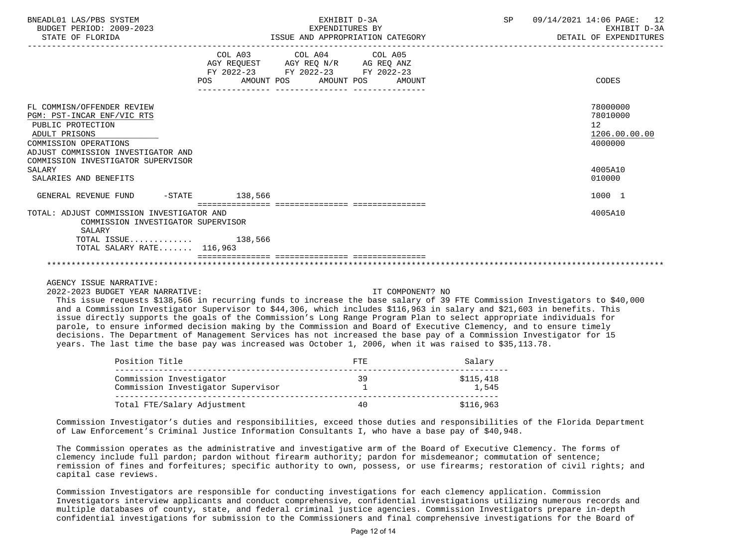| BNEADL01 LAS/PBS SYSTEM<br>BUDGET PERIOD: 2009-2023<br>STATE OF FLORIDA                                                                                                                             | EXHIBIT D-3A<br>EXPENDITURES BY<br>ISSUE AND APPROPRIATION CATEGORY                                                                   | SP | 09/14/2021 14:06 PAGE: 12<br>EXHIBIT D-3A<br>DETAIL OF EXPENDITURES  |
|-----------------------------------------------------------------------------------------------------------------------------------------------------------------------------------------------------|---------------------------------------------------------------------------------------------------------------------------------------|----|----------------------------------------------------------------------|
|                                                                                                                                                                                                     | COL A03 COL A04 COL A05<br>AGY REQUEST AGY REQ N/R AG REQ ANZ<br>FY 2022-23 FY 2022-23 FY 2022-23<br>POS AMOUNT POS AMOUNT POS AMOUNT |    | CODES                                                                |
| FL COMMISN/OFFENDER REVIEW<br>PGM: PST-INCAR ENF/VIC RTS<br>PUBLIC PROTECTION<br>ADULT PRISONS<br>COMMISSION OPERATIONS<br>ADJUST COMMISSION INVESTIGATOR AND<br>COMMISSION INVESTIGATOR SUPERVISOR |                                                                                                                                       |    | 78000000<br>78010000<br>12 <sup>12</sup><br>1206.00.00.00<br>4000000 |
| SALARY<br>SALARIES AND BENEFITS                                                                                                                                                                     |                                                                                                                                       |    | 4005A10<br>010000                                                    |
| GENERAL REVENUE FUND -STATE 138,566                                                                                                                                                                 |                                                                                                                                       |    | 1000 1                                                               |
| TOTAL: ADJUST COMMISSION INVESTIGATOR AND<br>COMMISSION INVESTIGATOR SUPERVISOR<br>SALARY                                                                                                           |                                                                                                                                       |    | 4005A10                                                              |
| TOTAL ISSUE $138,566$<br>TOTAL SALARY RATE 116,963                                                                                                                                                  |                                                                                                                                       |    |                                                                      |
|                                                                                                                                                                                                     |                                                                                                                                       |    |                                                                      |

## \*\*\*\*\*\*\*\*\*\*\*\*\*\*\*\*\*\*\*\*\*\*\*\*\*\*\*\*\*\*\*\*\*\*\*\*\*\*\*\*\*\*\*\*\*\*\*\*\*\*\*\*\*\*\*\*\*\*\*\*\*\*\*\*\*\*\*\*\*\*\*\*\*\*\*\*\*\*\*\*\*\*\*\*\*\*\*\*\*\*\*\*\*\*\*\*\*\*\*\*\*\*\*\*\*\*\*\*\*\*\*\*\*\*\*\*\*\*\*\*\*\*\*\*\*\*\*

## AGENCY ISSUE NARRATIVE:

2022-2023 BUDGET YEAR NARRATIVE: IT COMPONENT? NO

 This issue requests \$138,566 in recurring funds to increase the base salary of 39 FTE Commission Investigators to \$40,000 and a Commission Investigator Supervisor to \$44,306, which includes \$116,963 in salary and \$21,603 in benefits. This issue directly supports the goals of the Commission's Long Range Program Plan to select appropriate individuals for parole, to ensure informed decision making by the Commission and Board of Executive Clemency, and to ensure timely decisions. The Department of Management Services has not increased the base pay of a Commission Investigator for 15 years. The last time the base pay was increased was October 1, 2006, when it was raised to \$35,113.78.

| Position Title                                                | <b>FTE</b> | Salary             |
|---------------------------------------------------------------|------------|--------------------|
| Commission Investigator<br>Commission Investigator Supervisor | 39         | \$115,418<br>1,545 |
| Total FTE/Salary Adjustment                                   | 40         | \$116,963          |

 Commission Investigator's duties and responsibilities, exceed those duties and responsibilities of the Florida Department of Law Enforcement's Criminal Justice Information Consultants I, who have a base pay of \$40,948.

 The Commission operates as the administrative and investigative arm of the Board of Executive Clemency. The forms of clemency include full pardon; pardon without firearm authority; pardon for misdemeanor; commutation of sentence; remission of fines and forfeitures; specific authority to own, possess, or use firearms; restoration of civil rights; and capital case reviews.

 Commission Investigators are responsible for conducting investigations for each clemency application. Commission Investigators interview applicants and conduct comprehensive, confidential investigations utilizing numerous records and multiple databases of county, state, and federal criminal justice agencies. Commission Investigators prepare in-depth confidential investigations for submission to the Commissioners and final comprehensive investigations for the Board of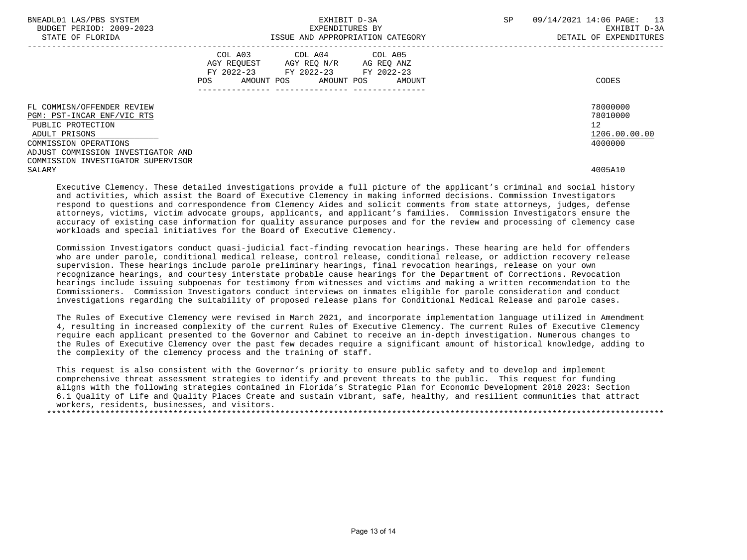| BNEADL01 LAS/PBS SYSTEM<br>BUDGET PERIOD: 2009-2023<br>STATE OF FLORIDA                                                 | EXHIBIT D-3A<br>EXPENDITURES BY<br>ISSUE AND APPROPRIATION CATEGORY                                                                            | <b>SP</b><br>09/14/2021 14:06 PAGE:<br>13<br>EXHIBIT D-3A<br>DETAIL OF EXPENDITURES |
|-------------------------------------------------------------------------------------------------------------------------|------------------------------------------------------------------------------------------------------------------------------------------------|-------------------------------------------------------------------------------------|
|                                                                                                                         | COL A03<br>COL A04 COL A05<br>AGY REOUEST AGY REO N/R<br>AG REQ ANZ<br>FY 2022-23 FY 2022-23 FY 2022-23<br>AMOUNT POS AMOUNT POS AMOUNT<br>POS | CODES                                                                               |
| FL COMMISN/OFFENDER REVIEW<br>PGM: PST-INCAR ENF/VIC RTS<br>PUBLIC PROTECTION<br>ADULT PRISONS<br>COMMISSION OPERATIONS |                                                                                                                                                | 78000000<br>78010000<br>12<br>1206.00.00.00<br>4000000                              |
| ADJUST COMMISSION INVESTIGATOR AND<br>COMMISSION INVESTIGATOR SUPERVISOR<br>SALARY                                      |                                                                                                                                                | 4005A10                                                                             |

 Executive Clemency. These detailed investigations provide a full picture of the applicant's criminal and social history and activities, which assist the Board of Executive Clemency in making informed decisions. Commission Investigators respond to questions and correspondence from Clemency Aides and solicit comments from state attorneys, judges, defense attorneys, victims, victim advocate groups, applicants, and applicant's families. Commission Investigators ensure the accuracy of existing case information for quality assurance purposes and for the review and processing of clemency case workloads and special initiatives for the Board of Executive Clemency.

 Commission Investigators conduct quasi-judicial fact-finding revocation hearings. These hearing are held for offenders who are under parole, conditional medical release, control release, conditional release, or addiction recovery release supervision. These hearings include parole preliminary hearings, final revocation hearings, release on your own recognizance hearings, and courtesy interstate probable cause hearings for the Department of Corrections. Revocation hearings include issuing subpoenas for testimony from witnesses and victims and making a written recommendation to the Commissioners. Commission Investigators conduct interviews on inmates eligible for parole consideration and conduct investigations regarding the suitability of proposed release plans for Conditional Medical Release and parole cases.

 The Rules of Executive Clemency were revised in March 2021, and incorporate implementation language utilized in Amendment 4, resulting in increased complexity of the current Rules of Executive Clemency. The current Rules of Executive Clemency require each applicant presented to the Governor and Cabinet to receive an in-depth investigation. Numerous changes to the Rules of Executive Clemency over the past few decades require a significant amount of historical knowledge, adding to the complexity of the clemency process and the training of staff.

 This request is also consistent with the Governor's priority to ensure public safety and to develop and implement comprehensive threat assessment strategies to identify and prevent threats to the public. This request for funding aligns with the following strategies contained in Florida's Strategic Plan for Economic Development 2018 2023: Section 6.1 Quality of Life and Quality Places Create and sustain vibrant, safe, healthy, and resilient communities that attract workers, residents, businesses, and visitors. \*\*\*\*\*\*\*\*\*\*\*\*\*\*\*\*\*\*\*\*\*\*\*\*\*\*\*\*\*\*\*\*\*\*\*\*\*\*\*\*\*\*\*\*\*\*\*\*\*\*\*\*\*\*\*\*\*\*\*\*\*\*\*\*\*\*\*\*\*\*\*\*\*\*\*\*\*\*\*\*\*\*\*\*\*\*\*\*\*\*\*\*\*\*\*\*\*\*\*\*\*\*\*\*\*\*\*\*\*\*\*\*\*\*\*\*\*\*\*\*\*\*\*\*\*\*\*